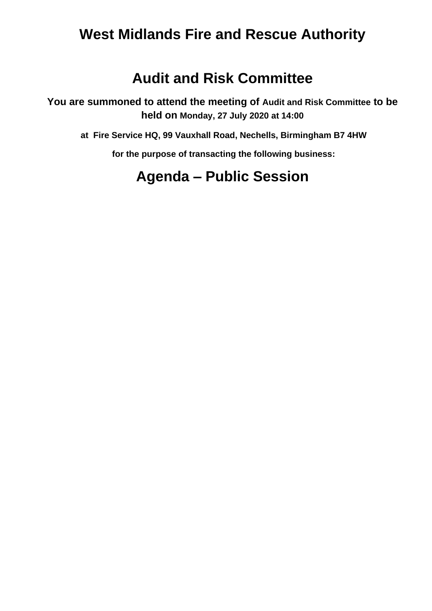## **West Midlands Fire and Rescue Authority**

## **Audit and Risk Committee**

**You are summoned to attend the meeting of Audit and Risk Committee to be held on Monday, 27 July 2020 at 14:00**

**at Fire Service HQ, 99 Vauxhall Road, Nechells, Birmingham B7 4HW**

**for the purpose of transacting the following business:**

## **Agenda – Public Session**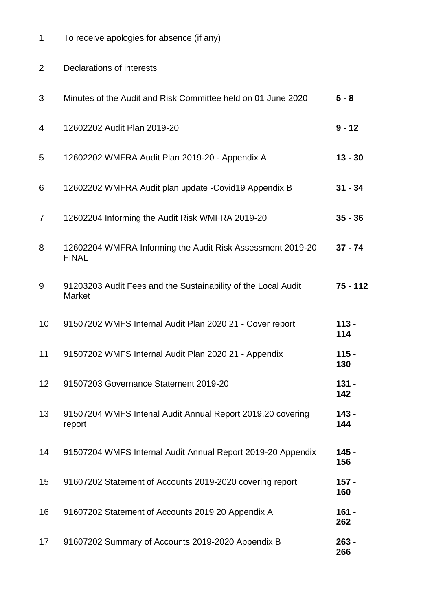| 1              | To receive apologies for absence (if any)                                      |                |
|----------------|--------------------------------------------------------------------------------|----------------|
| $\overline{2}$ | Declarations of interests                                                      |                |
| 3              | Minutes of the Audit and Risk Committee held on 01 June 2020                   | $5 - 8$        |
| 4              | 12602202 Audit Plan 2019-20                                                    | $9 - 12$       |
| 5              | 12602202 WMFRA Audit Plan 2019-20 - Appendix A                                 | $13 - 30$      |
| 6              | 12602202 WMFRA Audit plan update -Covid19 Appendix B                           | $31 - 34$      |
| 7              | 12602204 Informing the Audit Risk WMFRA 2019-20                                | $35 - 36$      |
| 8              | 12602204 WMFRA Informing the Audit Risk Assessment 2019-20<br><b>FINAL</b>     | $37 - 74$      |
| 9              | 91203203 Audit Fees and the Sustainability of the Local Audit<br><b>Market</b> | $75 - 112$     |
| 10             | 91507202 WMFS Internal Audit Plan 2020 21 - Cover report                       | $113 -$<br>114 |
| 11             | 91507202 WMFS Internal Audit Plan 2020 21 - Appendix                           | $115 -$<br>130 |
| 12             | 91507203 Governance Statement 2019-20                                          | $131 -$<br>142 |
| 13             | 91507204 WMFS Intenal Audit Annual Report 2019.20 covering<br>report           | $143 -$<br>144 |
| 14             | 91507204 WMFS Internal Audit Annual Report 2019-20 Appendix                    | $145 -$<br>156 |
| 15             | 91607202 Statement of Accounts 2019-2020 covering report                       | $157 -$<br>160 |
| 16             | 91607202 Statement of Accounts 2019 20 Appendix A                              | $161 -$<br>262 |
|                |                                                                                |                |

 91607202 Summary of Accounts 2019-2020 Appendix B **263 -**